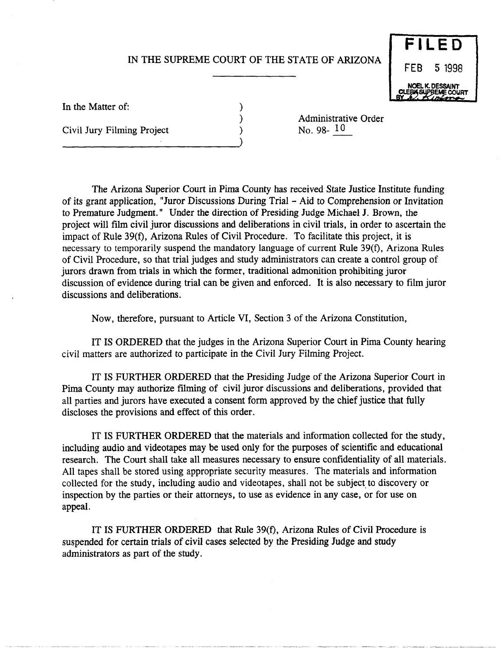## IN THE SUPREME COURT OF THE STATE OF ARIZONA

) ) )

**FILED**  FEB 5 1998 NOEL K. OESSAlNT **CLEBIS SUPBEME COURT** 

In the Matter of:

Civil Jury Filming Project

--------------------------)

Administrative Order No. 98- 10

The Arizona Superior Court in Pima County has received State Justice Institute funding of its grant application, "Juror Discussions During Trial - Aid to Comprehension or Invitation to Premature Judgment." Under the direction of Presiding Judge Michael J. Brown, the project will film civil juror discussions and deliberations in civil trials, in order to ascertain the impact of Rule 39(f), Arizona Rules of Civil Procedure. To facilitate this project, it is necessary to temporarily suspend the mandatory language of current Rule 39(f), Arizona Rules of Civil Procedure, so that trial judges and study administrators can create a control group of jurors drawn from trials in which the former, traditional admonition prohibiting juror discussion of evidence during trial can be given and enforced. It is also necessary to film juror discussions and deliberations.

Now, therefore, pursuant to Article VI, Section 3 of the Arizona Constitution,

IT IS ORDERED that the judges in the Arizona Superior Court in Pima County hearing civil matters are authorized to participate in the Civil Jury Filming Project.

IT IS FURTHER ORDERED that the Presiding Judge of the Arizona Superior Court in Pima County may authorize filming of civil juror discussions and deliberations, provided that all parties and jurors have executed a consent form approved by the chief justice that fully discloses the provisions and effect of this order.

IT IS FURTHER ORDERED that the materials and information collected for the study, including audio and videotapes may be used only for the purposes of scientific and educational research. The Court shall take all measures necessary to ensure confidentiality of all materials. All tapes shall be stored using appropriate security measures. The materials and information collected for the study, including audio and videotapes, shall not be subject to discovery or inspection by the parties or their attorneys, to use as evidence in any case, or for use on appeal.

IT IS FURTHER ORDERED that Rule 39(f), Arizona Rules of Civil Procedure is suspended for certain trials of civil cases selected by the Presiding Judge and study administrators as part of the study.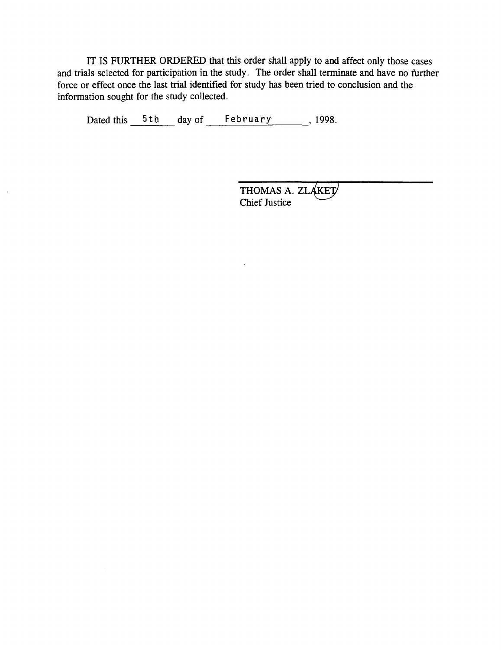IT IS FURTHER ORDERED that this order shall apply to and affect only those cases and trials selected for participation in the study. The order shall terminate and have no further force or effect once the last trial identified for study has been tried to conclusion and the information sought for the study collected.

Dated this  $5th$  day of February 1998.

THOMAS A. ZLAKET Chief Justice